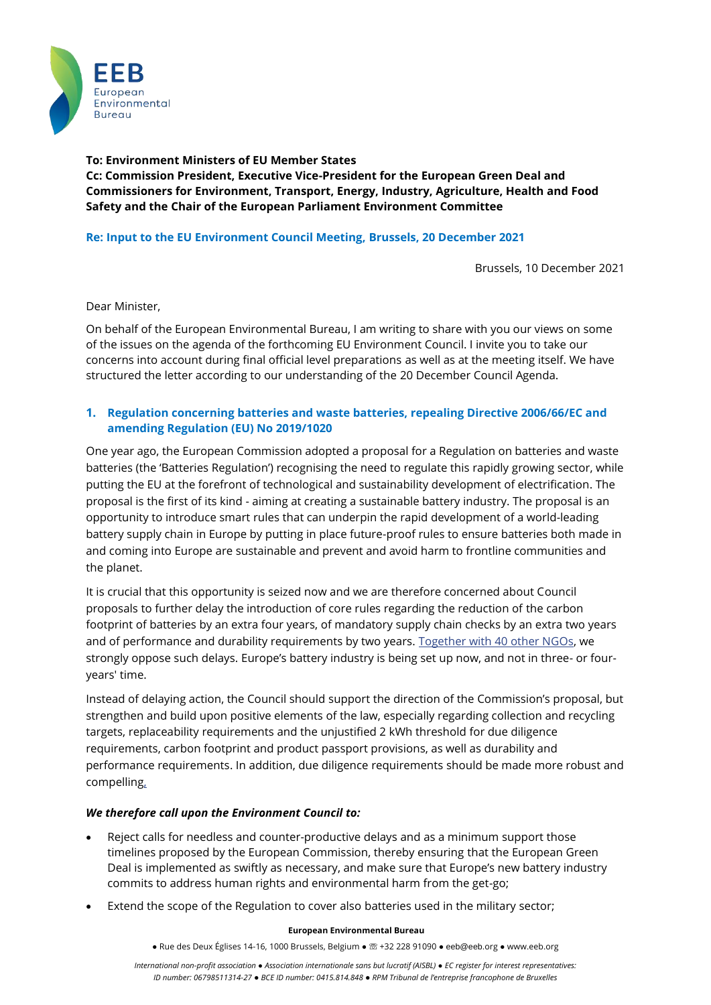

**To: Environment Ministers of EU Member States Cc: Commission President, Executive Vice-President for the European Green Deal and Commissioners for Environment, Transport, Energy, Industry, Agriculture, Health and Food Safety and the Chair of the European Parliament Environment Committee**

## **Re: Input to the EU Environment Council Meeting, Brussels, 20 December 2021**

Brussels, 10 December 2021

Dear Minister,

On behalf of the European Environmental Bureau, I am writing to share with you our views on some of the issues on the agenda of the forthcoming EU Environment Council. I invite you to take our concerns into account during final official level preparations as well as at the meeting itself. We have structured the letter according to our understanding of the 20 December Council Agenda.

### **1. Regulation concerning batteries and waste batteries, repealing Directive 2006/66/EC and amending Regulation (EU) No 2019/1020**

One year ago, the European Commission adopted a proposal for a Regulation on batteries and waste batteries (the 'Batteries Regulation') recognising the need to regulate this rapidly growing sector, while putting the EU at the forefront of technological and sustainability development of electrification. The proposal is the first of its kind - aiming at creating a sustainable battery industry. The proposal is an opportunity to introduce smart rules that can underpin the rapid development of a world-leading battery supply chain in Europe by putting in place future-proof rules to ensure batteries both made in and coming into Europe are sustainable and prevent and avoid harm to frontline communities and the planet.

It is crucial that this opportunity is seized now and we are therefore concerned about Council proposals to further delay the introduction of core rules regarding the reduction of the carbon footprint of batteries by an extra four years, of mandatory supply chain checks by an extra two years and of performance and durability requirements by two years. [Together with 40 other NGOs,](https://www.transportenvironment.org/discover/te-amnesty-and-39-other-ngos-warn-against-delays-to-sustainable-battery-rules/) we strongly oppose such delays. Europe's battery industry is being set up now, and not in three- or fouryears' time.

Instead of delaying action, the Council should support the direction of the Commission's proposal, but strengthen and build upon positive elements of the law, especially regarding collection and recycling targets, replaceability requirements and the unjustified 2 kWh threshold fo[r due diligence](https://www.amnesty.eu/wp-content/uploads/2021/10/Report_EU-Battery-Regulation-Due-Diligence.pdf)  [requirements,](https://www.amnesty.eu/wp-content/uploads/2021/10/Report_EU-Battery-Regulation-Due-Diligence.pdf) carbon footprint and product passport provisions, as well as durability and performance requirements. In addition, due diligence [requirements should be made more robust and](https://www.amnesty.eu/wp-content/uploads/2021/10/Report_EU-Battery-Regulation-Due-Diligence.pdf)  [compelling,](https://www.amnesty.eu/wp-content/uploads/2021/10/Report_EU-Battery-Regulation-Due-Diligence.pdf)

### *We therefore call upon the Environment Council to:*

- Reject calls for needless and counter-productive delays and as a minimum support those timelines proposed by the European Commission, thereby ensuring that the European Green Deal is implemented as swiftly as necessary, and make sure that Europe's new battery industry commits to address human rights and environmental harm from the get-go;
- Extend the scope of the Regulation to cover also batteries used in the military sector;

#### **European Environmental Bureau**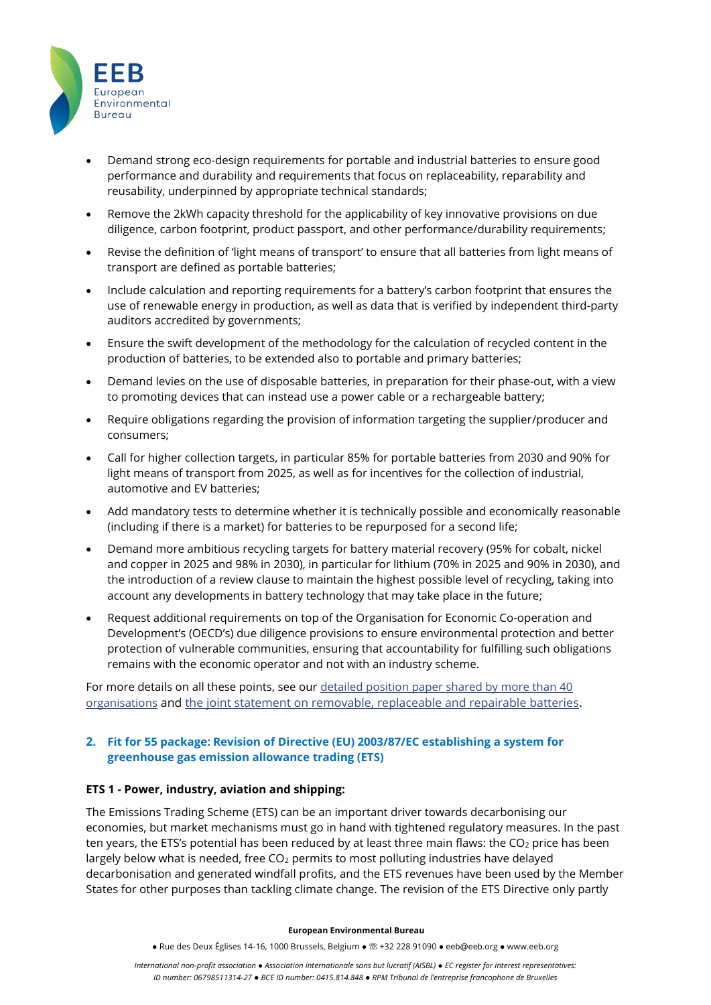

- Demand strong eco-design requirements for portable and industrial batteries to ensure good performance and durability and requirements that focus on replaceability, reparability and reusability, underpinned by appropriate technical standards;
- Remove the 2kWh capacity threshold for the applicability of key innovative provisions on due diligence, carbon footprint, product passport, and other performance/durability requirements;
- Revise the definition of 'light means of transport' to ensure that all batteries from light means of transport are defined as portable batteries;
- Include calculation and reporting requirements for a battery's carbon footprint that ensures the use of renewable energy in production, as well as data that is verified by independent third-party auditors accredited by governments;
- Ensure the swift development of the methodology for the calculation of recycled content in the production of batteries, to be extended also to portable and primary batteries;
- Demand levies on the use of disposable batteries, in preparation for their phase-out, with a view to promoting devices that can instead use a power cable or a rechargeable battery;
- Require obligations regarding the provision of information targeting the supplier/producer and consumers;
- Call for higher collection targets, in particular 85% for portable batteries from 2030 and 90% for light means of transport from 2025, as well as for incentives for the collection of industrial, automotive and EV batteries;
- Add mandatory tests to determine whether it is technically possible and economically reasonable (including if there is a market) for batteries to be repurposed for a second life;
- Demand more ambitious recycling targets for battery material recovery (95% for cobalt, nickel and copper in 2025 and 98% in 2030), in particular for lithium (70% in 2025 and 90% in 2030), and the introduction of a review clause to maintain the highest possible level of recycling, taking into account any developments in battery technology that may take place in the future;
- Request additional requirements on top of the Organisation for Economic Co-operation and Development's (OECD's) due diligence provisions to ensure environmental protection and better protection of vulnerable communities, ensuring that accountability for fulfilling such obligations remains with the economic operator and not with an industry scheme.

For more details on all these points, see our detailed [position paper shared by more than 40](https://eebbrussels.sharepoint.com/sites/EUPresidency/Gedeelde%20documenten/General/:%20https:/eeb.org/library/enhancing-the-sustainability-of-batteries-ngo-position-paper/)  [organisations](https://eebbrussels.sharepoint.com/sites/EUPresidency/Gedeelde%20documenten/General/:%20https:/eeb.org/library/enhancing-the-sustainability-of-batteries-ngo-position-paper/) and [the joint statement on removable, replaceable and repairable batteries.](https://eeb.org/library/joint-statement-europes-circular-economy-leaders-demand-removable-replaceable-and-repairable-batteries/)

## **2. Fit for 55 package: Revision of Directive (EU) 2003/87/EC establishing a system for greenhouse gas emission allowance trading (ETS)**

### **ETS 1 - Power, industry, aviation and shipping:**

The Emissions Trading Scheme (ETS) can be an important driver towards decarbonising our economies, but market mechanisms must go in hand with tightened regulatory measures. In the past ten years, the ETS's potential has been reduced by at least three main flaws: the  $CO<sub>2</sub>$  price has been largely below what is needed, free  $CO<sub>2</sub>$  permits to most polluting industries have delayed decarbonisation and generated windfall profits, and the ETS revenues have been used by the Member States for other purposes than tackling climate change. The revision of the ETS Directive only partly

#### **European Environmental Bureau**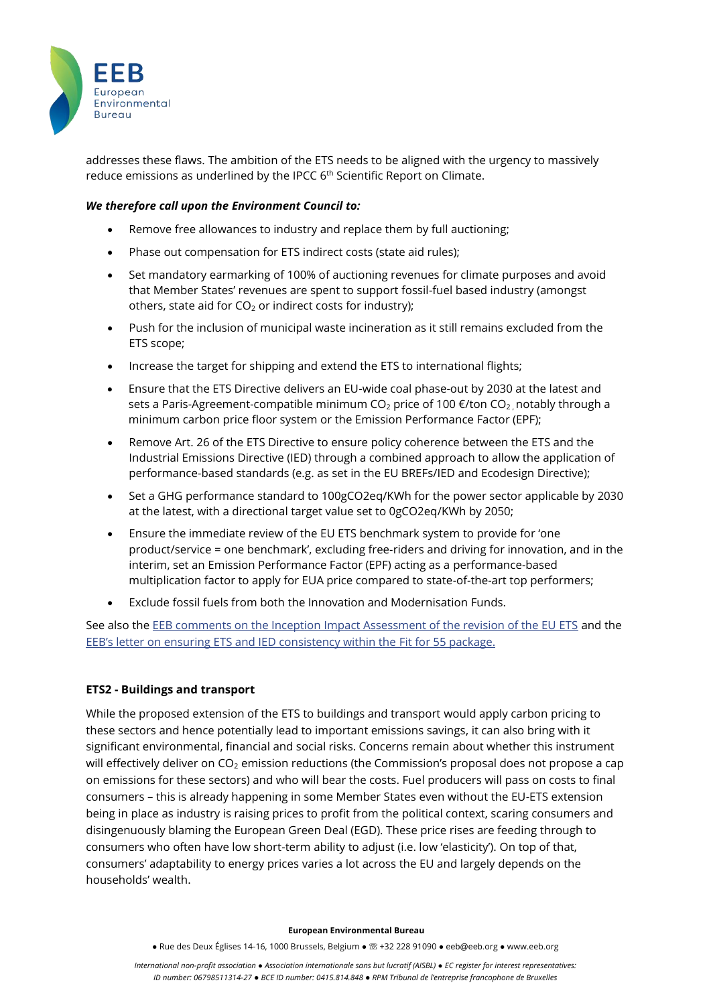

addresses these flaws. The ambition of the ETS needs to be aligned with the urgency to massively reduce emissions as underlined by the IPCC 6<sup>th</sup> Scientific Report on Climate.

### *We therefore call upon the Environment Council to:*

- Remove free allowances to industry and replace them by full auctioning;
- Phase out compensation for ETS indirect costs (state aid rules);
- Set mandatory earmarking of 100% of auctioning revenues for climate purposes and avoid that Member States' revenues are spent to support fossil-fuel based industry (amongst others, state aid for  $CO<sub>2</sub>$  or indirect costs for industry);
- Push for the inclusion of municipal waste incineration as it still remains excluded from the ETS scope;
- Increase the target for shipping and extend the ETS to international flights;
- Ensure that the ETS Directive delivers an EU-wide coal phase-out by 2030 at the latest and sets a Paris-Agreement-compatible minimum CO<sub>2</sub> price of 100  $\epsilon$ /ton CO<sub>2</sub> notably through a minimum carbon price floor system or the Emission Performance Factor (EPF);
- Remove Art. 26 of the ETS Directive to ensure policy coherence between the ETS and the Industrial Emissions Directive (IED) through a combined approach to allow the application of performance-based standards (e.g. as set in the EU BREFs/IED and Ecodesign Directive);
- Set a GHG performance standard to 100gCO2eq/KWh for the power sector applicable by 2030 at the latest, with a directional target value set to 0gCO2eq/KWh by 2050;
- Ensure the immediate review of the EU ETS benchmark system to provide for 'one product/service = one benchmark', excluding free-riders and driving for innovation, and in the interim, set an Emission Performance Factor (EPF) acting as a performance-based multiplication factor to apply for EUA price compared to state-of-the-art top performers;
- Exclude fossil fuels from both the Innovation and Modernisation Funds.

See also the [EEB comments on the Inception Impact Assessment of the revision of the EU ETS](https://mk0eeborgicuypctuf7e.kinstacdn.com/wp-content/uploads/2020/11/EEB-comments-on-the-Inception-Impact-Assessment-of-the-revision-of-the-EU-ETS.pdf) and the [EEB's letter on ensuring ETS and IED consistency within the](https://eeb.org/library/letter-to-the-european-commission-ensuring-ets-and-ied-consistency-within-upcoming-fit-for-55-package/) Fit for 55 package.

# **ETS2 - Buildings and transport**

While the proposed extension of the ETS to buildings and transport would apply carbon pricing to these sectors and hence potentially lead to important emissions savings, it can also bring with it significant environmental, financial and social risks. Concerns remain about whether this instrument will effectively deliver on CO<sub>2</sub> emission reductions (the Commission's proposal does not propose a cap on emissions for these sectors) and who will bear the costs. Fuel producers will pass on costs to final consumers – this is already happening in some Member States even without the EU-ETS extension being in place as industry is raising prices to profit from the political context, scaring consumers and disingenuously blaming the European Green Deal (EGD). These price rises are feeding through to consumers who often have low short-term ability to adjust (i.e. low 'elasticity'). On top of that, consumers' adaptability to energy prices varies a lot across the EU and largely depends on the households' wealth.

#### **European Environmental Bureau**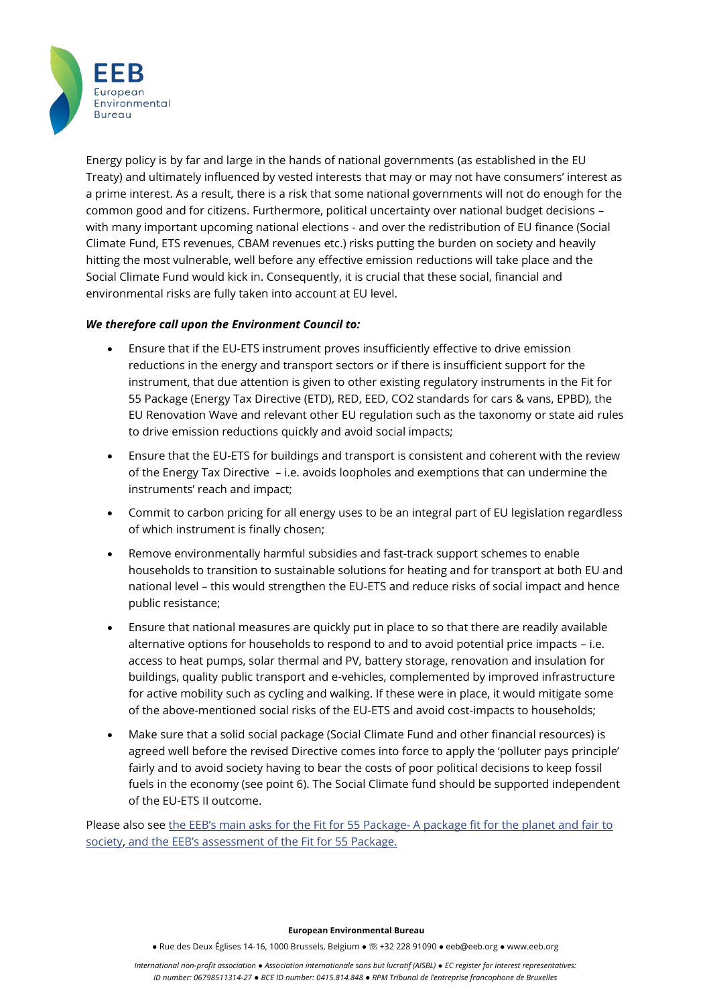

Energy policy is by far and large in the hands of national governments (as established in the EU Treaty) and ultimately influenced by vested interests that may or may not have consumers' interest as a prime interest. As a result, there is a risk that some national governments will not do enough for the common good and for citizens. Furthermore, political uncertainty over national budget decisions – with many important upcoming national elections - and over the redistribution of EU finance (Social Climate Fund, ETS revenues, CBAM revenues etc.) risks putting the burden on society and heavily hitting the most vulnerable, well before any effective emission reductions will take place and the Social Climate Fund would kick in. Consequently, it is crucial that these social, financial and environmental risks are fully taken into account at EU level.

## *We therefore call upon the Environment Council to:*

- Ensure that if the EU-ETS instrument proves insufficiently effective to drive emission reductions in the energy and transport sectors or if there is insufficient support for the instrument, that due attention is given to other existing regulatory instruments in the Fit for 55 Package (Energy Tax Directive (ETD), RED, EED, CO2 standards for cars & vans, EPBD), the EU Renovation Wave and relevant other EU regulation such as the taxonomy or state aid rules to drive emission reductions quickly and avoid social impacts;
- Ensure that the EU-ETS for buildings and transport is consistent and coherent with the review of the Energy Tax Directive – i.e. avoids loopholes and exemptions that can undermine the instruments' reach and impact;
- Commit to carbon pricing for all energy uses to be an integral part of EU legislation regardless of which instrument is finally chosen;
- Remove environmentally harmful subsidies and fast-track support schemes to enable households to transition to sustainable solutions for heating and for transport at both EU and national level – this would strengthen the EU-ETS and reduce risks of social impact and hence public resistance;
- Ensure that national measures are quickly put in place to so that there are readily available alternative options for households to respond to and to avoid potential price impacts – i.e. access to heat pumps, solar thermal and PV, battery storage, renovation and insulation for buildings, quality public transport and e-vehicles, complemented by improved infrastructure for active mobility such as cycling and walking. If these were in place, it would mitigate some of the above-mentioned social risks of the EU-ETS and avoid cost-impacts to households;
- Make sure that a solid social package (Social Climate Fund and other financial resources) is agreed well before the revised Directive comes into force to apply the 'polluter pays principle' fairly and to avoid society having to bear the costs of poor political decisions to keep fossil fuels in the economy (see point 6). The Social Climate fund should be supported independent of the EU-ETS II outcome.

Please also see the EEB's main asks for the Fit for 55 Package- [A package fit for the planet and fair to](https://mk0eeborgicuypctuf7e.kinstacdn.com/wp-content/uploads/2021/07/EEB-Mains-asks-FitFor55.pdf)  [society,](https://mk0eeborgicuypctuf7e.kinstacdn.com/wp-content/uploads/2021/07/EEB-Mains-asks-FitFor55.pdf) and the [EEB's assessment of the Fit for 55 Package](https://eeb.org/library/fit-for-55-eeb-assessment/).

#### **European Environmental Bureau**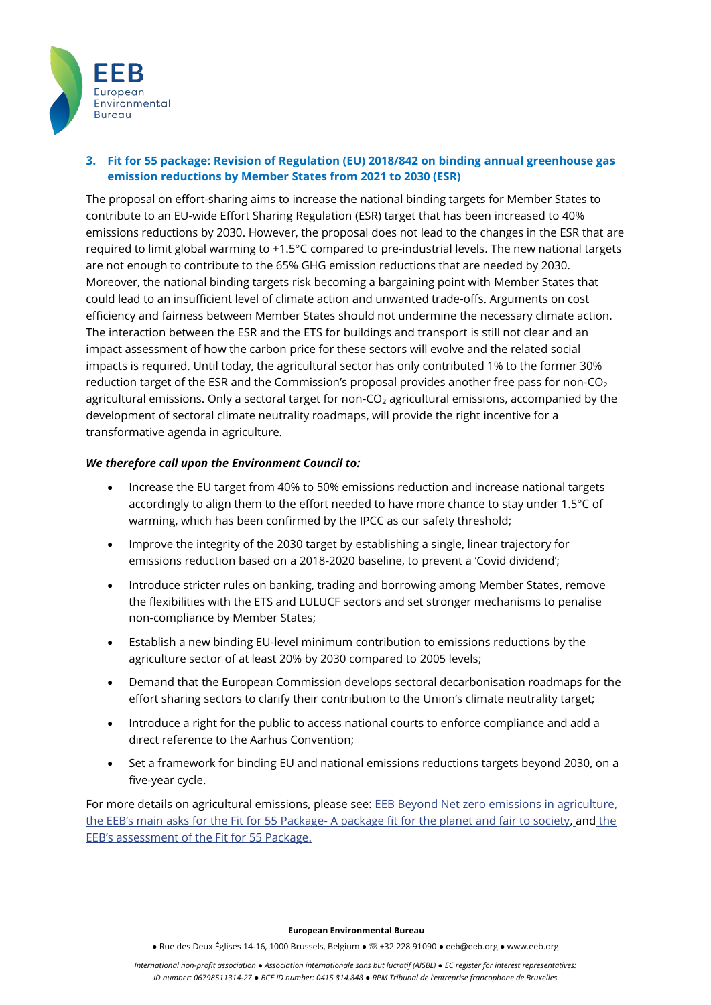

# **3. Fit for 55 package: Revision of Regulation (EU) 2018/842 on binding annual greenhouse gas emission reductions by Member States from 2021 to 2030 (ESR)**

The proposal on effort-sharing aims to increase the national binding targets for Member States to contribute to an EU-wide Effort Sharing Regulation (ESR) target that has been increased to 40% emissions reductions by 2030. However, the proposal does not lead to the changes in the ESR that are required to limit global warming to +1.5°C compared to pre-industrial levels. The new national targets are not enough to contribute to the 65% GHG emission reductions that are needed by 2030. Moreover, the national binding targets risk becoming a bargaining point with Member States that could lead to an insufficient level of climate action and unwanted trade-offs. Arguments on cost efficiency and fairness between Member States should not undermine the necessary climate action. The interaction between the ESR and the ETS for buildings and transport is still not clear and an impact assessment of how the carbon price for these sectors will evolve and the related social impacts is required. Until today, the agricultural sector has only contributed 1% to the former 30% reduction target of the ESR and the Commission's proposal provides another free pass for non-CO<sub>2</sub> agricultural emissions. Only a sectoral target for non- $CO<sub>2</sub>$  agricultural emissions, accompanied by the development of sectoral climate neutrality roadmaps, will provide the right incentive for a transformative agenda in agriculture.

## *We therefore call upon the Environment Council to:*

- Increase the EU target from 40% to 50% emissions reduction and increase national targets accordingly to align them to the effort needed to have more chance to stay under 1.5°C of warming, which has been confirmed by the IPCC as our safety threshold;
- Improve the integrity of the 2030 target by establishing a single, linear trajectory for emissions reduction based on a 2018-2020 baseline, to prevent a 'Covid dividend';
- Introduce stricter rules on banking, trading and borrowing among Member States, remove the flexibilities with the ETS and LULUCF sectors and set stronger mechanisms to penalise non-compliance by Member States;
- Establish a new binding EU-level minimum contribution to emissions reductions by the agriculture sector of at least 20% by 2030 compared to 2005 levels;
- Demand that the European Commission develops sectoral decarbonisation roadmaps for the effort sharing sectors to clarify their contribution to the Union's climate neutrality target;
- Introduce a right for the public to access national courts to enforce compliance and add a direct reference to the Aarhus Convention;
- Set a framework for binding EU and national emissions reductions targets beyond 2030, on a five-year cycle.

For more details on agricultural emissions, please see: EEB [Beyond Net zero emissions in agriculture,](https://mk0eeborgicuypctuf7e.kinstacdn.com/wp-content/uploads/2021/07/Beyond-Net-zero-emissions-in-agriculture.pdf) the EEB's main asks for the Fit for 55 Package- [A package fit for the planet and fair to society,](https://mk0eeborgicuypctuf7e.kinstacdn.com/wp-content/uploads/2021/07/EEB-Mains-asks-FitFor55.pdf) and the [EEB's assessment of the Fit for 55 Package](https://eeb.org/library/fit-for-55-eeb-assessment/).

#### **European Environmental Bureau**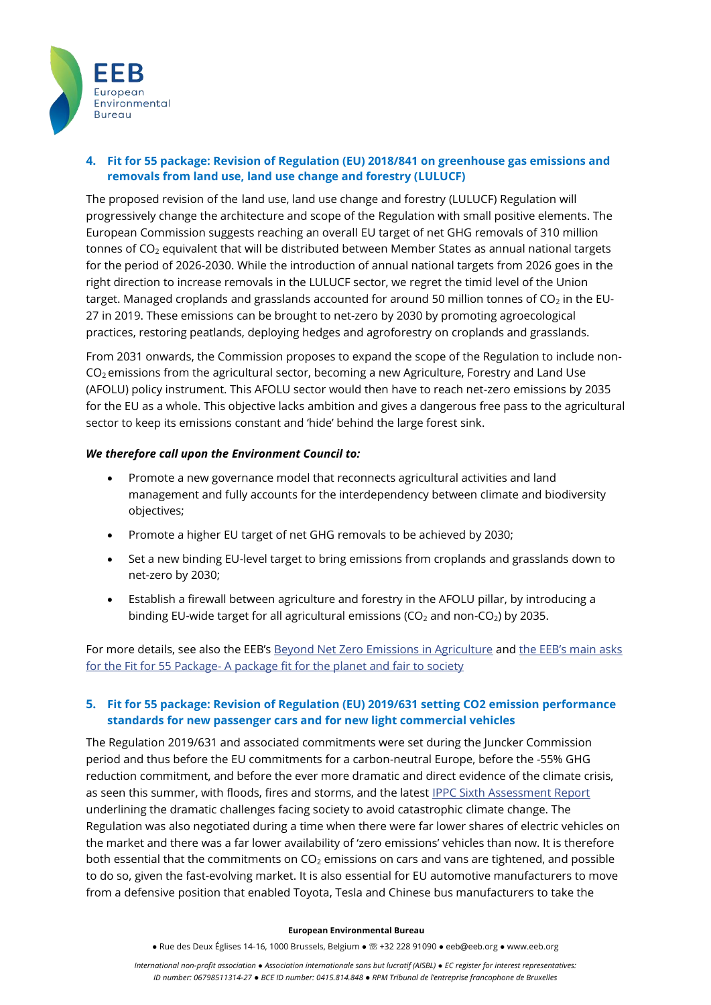

# **4. Fit for 55 package: Revision of Regulation (EU) 2018/841 on greenhouse gas emissions and removals from land use, land use change and forestry (LULUCF)**

The proposed revision of the land use, land use change and forestry (LULUCF) Regulation will progressively change the architecture and scope of the Regulation with small positive elements. The European Commission suggests reaching an overall EU target of net GHG removals of 310 million tonnes of CO<sub>2</sub> equivalent that will be distributed between Member States as annual national targets for the period of 2026-2030. While the introduction of annual national targets from 2026 goes in the right direction to increase removals in the LULUCF sector, we regret the timid level of the Union target. Managed croplands and grasslands accounted for around 50 million tonnes of  $CO<sub>2</sub>$  in the EU-27 in 2019. These emissions can be brought to net-zero by 2030 by promoting agroecological practices, restoring peatlands, deploying hedges and agroforestry on croplands and grasslands.

From 2031 onwards, the Commission proposes to expand the scope of the Regulation to include non-CO<sub>2</sub> emissions from the agricultural sector, becoming a new Agriculture, Forestry and Land Use (AFOLU) policy instrument. This AFOLU sector would then have to reach net-zero emissions by 2035 for the EU as a whole. This objective lacks ambition and gives a dangerous free pass to the agricultural sector to keep its emissions constant and 'hide' behind the large forest sink.

### *We therefore call upon the Environment Council to:*

- Promote a new governance model that reconnects agricultural activities and land management and fully accounts for the interdependency between climate and biodiversity objectives;
- Promote a higher EU target of net GHG removals to be achieved by 2030;
- Set a new binding EU-level target to bring emissions from croplands and grasslands down to net-zero by 2030;
- Establish a firewall between agriculture and forestry in the AFOLU pillar, by introducing a binding EU-wide target for all agricultural emissions ( $CO<sub>2</sub>$  and non- $CO<sub>2</sub>$ ) by 2035.

For more details, see also the EEB's [Beyond Net Zero Emissions in Agriculture](https://mk0eeborgicuypctuf7e.kinstacdn.com/wp-content/uploads/2021/07/Beyond-Net-zero-emissions-in-agriculture.pdf) and [the EEB's main asks](https://mk0eeborgicuypctuf7e.kinstacdn.com/wp-content/uploads/2021/07/EEB-Mains-asks-FitFor55.pdf)  for the Fit for 55 Package- [A package fit for the planet and fair to society](https://mk0eeborgicuypctuf7e.kinstacdn.com/wp-content/uploads/2021/07/EEB-Mains-asks-FitFor55.pdf)

## **5. Fit for 55 package: Revision of Regulation (EU) 2019/631 setting CO2 emission performance standards for new passenger cars and for new light commercial vehicles**

The Regulation 2019/631 and associated commitments were set during the Juncker Commission period and thus before the EU commitments for a carbon-neutral Europe, before the -55% GHG reduction commitment, and before the ever more dramatic and direct evidence of the climate crisis, as seen this summer, with floods, fires and storms, and the latest [IPPC Sixth Assessment Report](https://www.ipcc.ch/report/sixth-assessment-report-cycle/) underlining the dramatic challenges facing society to avoid catastrophic climate change. The Regulation was also negotiated during a time when there were far lower shares of electric vehicles on the market and there was a far lower availability of 'zero emissions' vehicles than now. It is therefore both essential that the commitments on  $CO<sub>2</sub>$  emissions on cars and vans are tightened, and possible to do so, given the fast-evolving market. It is also essential for EU automotive manufacturers to move from a defensive position that enabled Toyota, Tesla and Chinese bus manufacturers to take the

#### **European Environmental Bureau**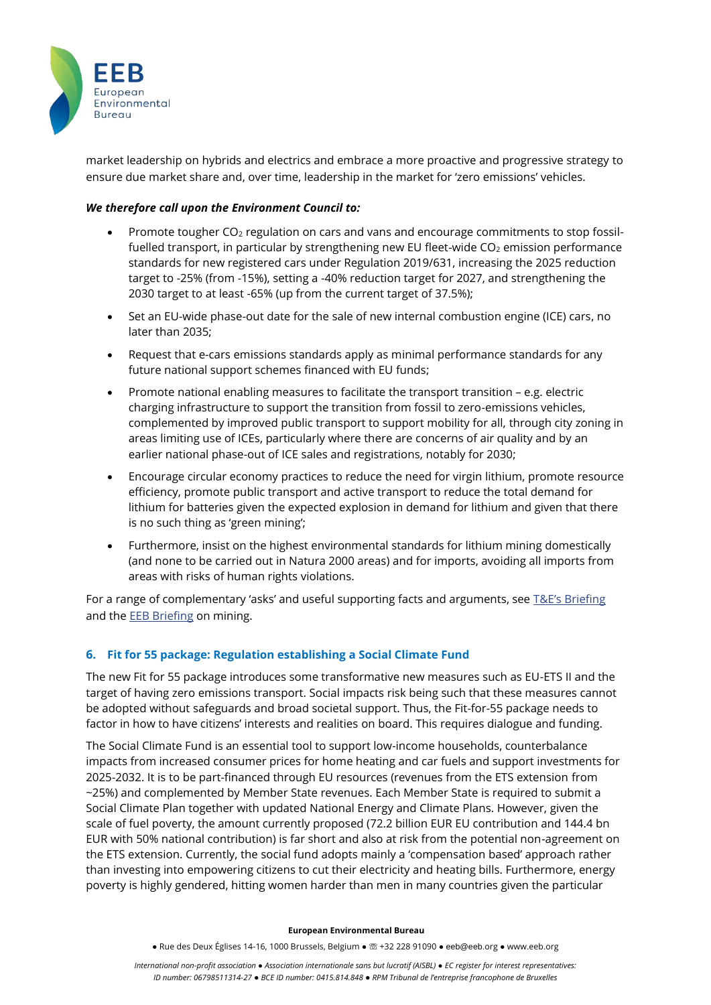

market leadership on hybrids and electrics and embrace a more proactive and progressive strategy to ensure due market share and, over time, leadership in the market for 'zero emissions' vehicles.

### *We therefore call upon the Environment Council to:*

- Promote tougher CO<sub>2</sub> regulation on cars and vans and encourage commitments to stop fossilfuelled transport, in particular by strengthening new EU fleet-wide  $CO<sub>2</sub>$  emission performance standards for new registered cars under Regulation 2019/631, increasing the 2025 reduction target to -25% (from -15%), setting a -40% reduction target for 2027, and strengthening the 2030 target to at least -65% (up from the current target of 37.5%);
- Set an EU-wide phase-out date for the sale of new internal combustion engine (ICE) cars, no later than 2035;
- Request that e-cars emissions standards apply as minimal performance standards for any future national support schemes financed with EU funds;
- Promote national enabling measures to facilitate the transport transition e.g. electric charging infrastructure to support the transition from fossil to zero-emissions vehicles, complemented by improved public transport to support mobility for all, through city zoning in areas limiting use of ICEs, particularly where there are concerns of air quality and by an earlier national phase-out of ICE sales and registrations, notably for 2030;
- Encourage circular economy practices to reduce the need for virgin lithium, promote resource efficiency, promote public transport and active transport to reduce the total demand for lithium for batteries given the expected explosion in demand for lithium and given that there is no such thing as 'green mining';
- Furthermore, insist on the highest environmental standards for lithium mining domestically (and none to be carried out in Natura 2000 areas) and for imports, avoiding all imports from areas with risks of human rights violations.

For a range of complementary 'asks' and useful supporting facts and arguments, see [T&E's Briefing](https://www.transportenvironment.org/sites/te/files/publications/Car%20CO2%202021%20revision%20-%20position%20paper%20%28T%26E%29.pdf) and th[e EEB Briefing](https://eeb.org/library/green-mining-is-a-myth/) on mining.

### **6. Fit for 55 package: Regulation establishing a Social Climate Fund**

The new Fit for 55 package introduces some transformative new measures such as EU-ETS II and the target of having zero emissions transport. Social impacts risk being such that these measures cannot be adopted without safeguards and broad societal support. Thus, the Fit-for-55 package needs to factor in how to have citizens' interests and realities on board. This requires dialogue and funding.

The Social Climate Fund is an essential tool to support low-income households, counterbalance impacts from increased consumer prices for home heating and car fuels and support investments for 2025-2032. It is to be part-financed through EU resources (revenues from the ETS extension from ~25%) and complemented by Member State revenues. Each Member State is required to submit a Social Climate Plan together with updated National Energy and Climate Plans. However, given the scale of fuel poverty, the amount currently proposed (72.2 billion EUR EU contribution and 144.4 bn EUR with 50% national contribution) is far short and also at risk from the potential non-agreement on the ETS extension. Currently, the social fund adopts mainly a 'compensation based' approach rather than investing into empowering citizens to cut their electricity and heating bills. Furthermore, energy poverty is highly gendered, hitting women harder than men in many countries given the particular

#### **European Environmental Bureau**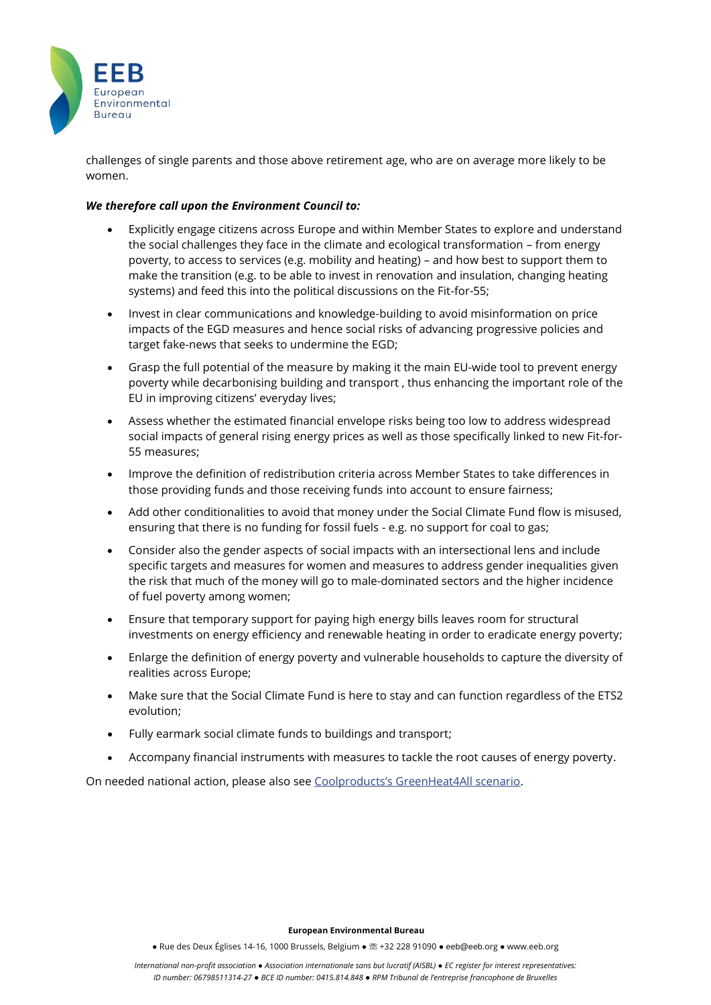

challenges of single parents and those above retirement age, who are on average more likely to be women.

### *We therefore call upon the Environment Council to:*

- Explicitly engage citizens across Europe and within Member States to explore and understand the social challenges they face in the climate and ecological transformation – from energy poverty, to access to services (e.g. mobility and heating) – and how best to support them to make the transition (e.g. to be able to invest in renovation and insulation, changing heating systems) and feed this into the political discussions on the Fit-for-55;
- Invest in clear communications and knowledge-building to avoid misinformation on price impacts of the EGD measures and hence social risks of advancing progressive policies and target fake-news that seeks to undermine the EGD;
- Grasp the full potential of the measure by making it the main EU-wide tool to prevent energy poverty while decarbonising building and transport , thus enhancing the important role of the EU in improving citizens' everyday lives;
- Assess whether the estimated financial envelope risks being too low to address widespread social impacts of general rising energy prices as well as those specifically linked to new Fit-for-55 measures;
- Improve the definition of redistribution criteria across Member States to take differences in those providing funds and those receiving funds into account to ensure fairness;
- Add other conditionalities to avoid that money under the Social Climate Fund flow is misused, ensuring that there is no funding for fossil fuels - e.g. no support for coal to gas;
- Consider also the gender aspects of social impacts with an intersectional lens and include specific targets and measures for women and measures to address gender inequalities given the risk that much of the money will go to male-dominated sectors and the higher incidence of fuel poverty among women;
- Ensure that temporary support for paying high energy bills leaves room for structural investments on energy efficiency and renewable heating in order to eradicate energy poverty;
- Enlarge the definition of energy poverty and vulnerable households to capture the diversity of realities across Europe;
- Make sure that the Social Climate Fund is here to stay and can function regardless of the ETS2 evolution;
- Fully earmark social climate funds to buildings and transport;
- Accompany financial instruments with measures to tackle the root causes of energy poverty.

On needed national action, please also see [Coolproducts's GreenHeat4All scenario](https://www.coolproducts.eu/coolproducts-reports/out-of-gas-eu-is-e70-billion-away-from-making-renewable-heating-affordable-for-all/).

#### **European Environmental Bureau**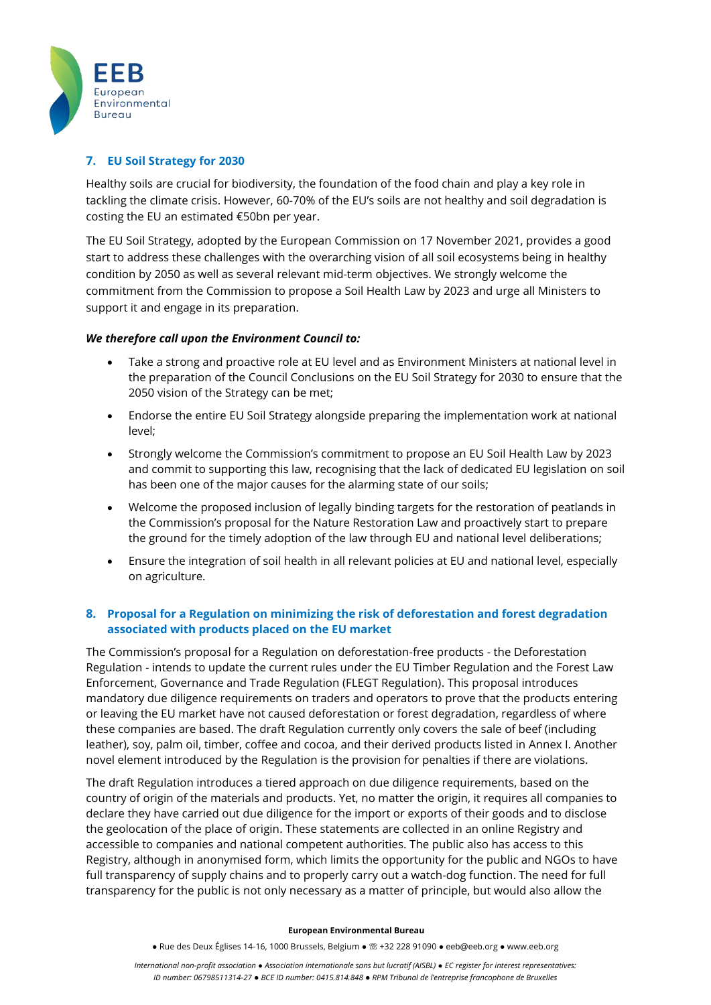

## **7. EU Soil Strategy for 2030**

Healthy soils are crucial for biodiversity, the foundation of the food chain and play a key role in tackling the climate crisis. However, 60-70% of the EU's soils are not healthy and soil degradation is costing the EU an estimated €50bn per year.

The EU Soil Strategy, adopted by the European Commission on 17 November 2021, provides a good start to address these challenges with the overarching vision of all soil ecosystems being in healthy condition by 2050 as well as several relevant mid-term objectives. We strongly welcome the commitment from the Commission to propose a Soil Health Law by 2023 and urge all Ministers to support it and engage in its preparation.

### *We therefore call upon the Environment Council to:*

- Take a strong and proactive role at EU level and as Environment Ministers at national level in the preparation of the Council Conclusions on the EU Soil Strategy for 2030 to ensure that the 2050 vision of the Strategy can be met;
- Endorse the entire EU Soil Strategy alongside preparing the implementation work at national level;
- Strongly welcome the Commission's commitment to propose an EU Soil Health Law by 2023 and commit to supporting this law, recognising that the lack of dedicated EU legislation on soil has been one of the major causes for the alarming state of our soils;
- Welcome the proposed inclusion of legally binding targets for the restoration of peatlands in the Commission's proposal for the Nature Restoration Law and proactively start to prepare the ground for the timely adoption of the law through EU and national level deliberations;
- Ensure the integration of soil health in all relevant policies at EU and national level, especially on agriculture.

## **8. Proposal for a Regulation on minimizing the risk of deforestation and forest degradation associated with products placed on the EU market**

The Commission's proposal for a Regulation on deforestation-free products - the Deforestation Regulation - intends to update the current rules under the EU Timber Regulation and the Forest Law Enforcement, Governance and Trade Regulation (FLEGT Regulation). This proposal introduces mandatory due diligence requirements on traders and operators to prove that the products entering or leaving the EU market have not caused deforestation or forest degradation, regardless of where these companies are based. The draft Regulation currently only covers the sale of beef (including leather), soy, palm oil, timber, coffee and cocoa, and their derived products listed in Annex I. Another novel element introduced by the Regulation is the provision for penalties if there are violations.

The draft Regulation introduces a tiered approach on due diligence requirements, based on the country of origin of the materials and products. Yet, no matter the origin, it requires all companies to declare they have carried out due diligence for the import or exports of their goods and to disclose the geolocation of the place of origin. These statements are collected in an online Registry and accessible to companies and national competent authorities. The public also has access to this Registry, although in anonymised form, which limits the opportunity for the public and NGOs to have full transparency of supply chains and to properly carry out a watch-dog function. The need for full transparency for the public is not only necessary as a matter of principle, but would also allow the

#### **European Environmental Bureau**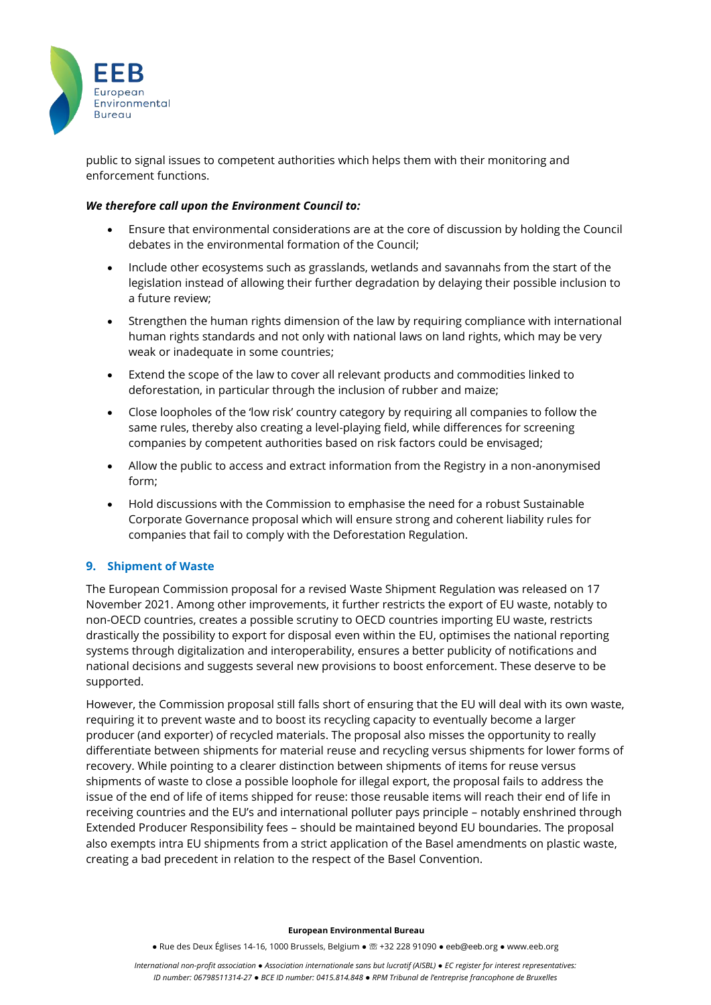

public to signal issues to competent authorities which helps them with their monitoring and enforcement functions.

#### *We therefore call upon the Environment Council to:*

- Ensure that environmental considerations are at the core of discussion by holding the Council debates in the environmental formation of the Council;
- Include other ecosystems such as grasslands, wetlands and savannahs from the start of the legislation instead of allowing their further degradation by delaying their possible inclusion to a future review;
- Strengthen the human rights dimension of the law by requiring compliance with international human rights standards and not only with national laws on land rights, which may be very weak or inadequate in some countries;
- Extend the scope of the law to cover all relevant products and commodities linked to deforestation, in particular through the inclusion of rubber and maize;
- Close loopholes of the 'low risk' country category by requiring all companies to follow the same rules, thereby also creating a level-playing field, while differences for screening companies by competent authorities based on risk factors could be envisaged;
- Allow the public to access and extract information from the Registry in a non-anonymised form;
- Hold discussions with the Commission to emphasise the need for a robust Sustainable Corporate Governance proposal which will ensure strong and coherent liability rules for companies that fail to comply with the Deforestation Regulation.

### **9. Shipment of Waste**

The European Commission proposal for a revised Waste Shipment Regulation was released on 17 November 2021. Among other improvements, it further restricts the export of EU waste, notably to non-OECD countries, creates a possible scrutiny to OECD countries importing EU waste, restricts drastically the possibility to export for disposal even within the EU, optimises the national reporting systems through digitalization and interoperability, ensures a better publicity of notifications and national decisions and suggests several new provisions to boost enforcement. These deserve to be supported.

However, the Commission proposal still falls short of ensuring that the EU will deal with its own waste, requiring it to prevent waste and to boost its recycling capacity to eventually become a larger producer (and exporter) of recycled materials. The proposal also misses the opportunity to really differentiate between shipments for material reuse and recycling versus shipments for lower forms of recovery. While pointing to a clearer distinction between shipments of items for reuse versus shipments of waste to close a possible loophole for illegal export, the proposal fails to address the issue of the end of life of items shipped for reuse: those reusable items will reach their end of life in receiving countries and the EU's and international polluter pays principle – notably enshrined through Extended Producer Responsibility fees – should be maintained beyond EU boundaries. The proposal also exempts intra EU shipments from a strict application of the Basel amendments on plastic waste, creating a bad precedent in relation to the respect of the Basel Convention.

#### **European Environmental Bureau**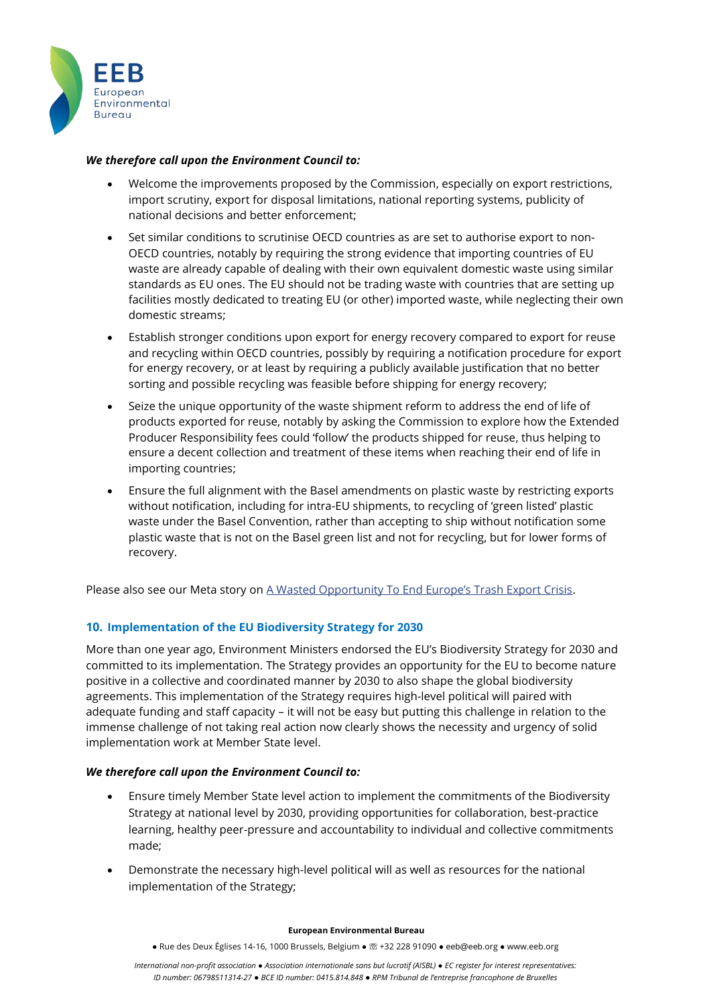

## *We therefore call upon the Environment Council to:*

- Welcome the improvements proposed by the Commission, especially on export restrictions, import scrutiny, export for disposal limitations, national reporting systems, publicity of national decisions and better enforcement;
- Set similar conditions to scrutinise OECD countries as are set to authorise export to non-OECD countries, notably by requiring the strong evidence that importing countries of EU waste are already capable of dealing with their own equivalent domestic waste using similar standards as EU ones. The EU should not be trading waste with countries that are setting up facilities mostly dedicated to treating EU (or other) imported waste, while neglecting their own domestic streams;
- Establish stronger conditions upon export for energy recovery compared to export for reuse and recycling within OECD countries, possibly by requiring a notification procedure for export for energy recovery, or at least by requiring a publicly available justification that no better sorting and possible recycling was feasible before shipping for energy recovery;
- Seize the unique opportunity of the waste shipment reform to address the end of life of products exported for reuse, notably by asking the Commission to explore how the Extended Producer Responsibility fees could 'follow' the products shipped for reuse, thus helping to ensure a decent collection and treatment of these items when reaching their end of life in importing countries;
- Ensure the full alignment with the Basel amendments on plastic waste by restricting exports without notification, including for intra-EU shipments, to recycling of 'green listed' plastic waste under the Basel Convention, rather than accepting to ship without notification some plastic waste that is not on the Basel green list and not for recycling, but for lower forms of recovery.

Please also see our Meta story on [A Wasted Opportunity To End Europe's Trash Export Crisis](https://meta.eeb.org/tag/waste-shipment/).

# **10. Implementation of the EU Biodiversity Strategy for 2030**

More than one year ago, Environment Ministers endorsed the EU's Biodiversity Strategy for 2030 and committed to its implementation. The Strategy provides an opportunity for the EU to become nature positive in a collective and coordinated manner by 2030 to also shape the global biodiversity agreements. This implementation of the Strategy requires high-level political will paired with adequate funding and staff capacity – it will not be easy but putting this challenge in relation to the immense challenge of not taking real action now clearly shows the necessity and urgency of solid implementation work at Member State level.

### *We therefore call upon the Environment Council to:*

- Ensure timely Member State level action to implement the commitments of the Biodiversity Strategy at national level by 2030, providing opportunities for collaboration, best-practice learning, healthy peer-pressure and accountability to individual and collective commitments made;
- Demonstrate the necessary high-level political will as well as resources for the national implementation of the Strategy;

#### **European Environmental Bureau**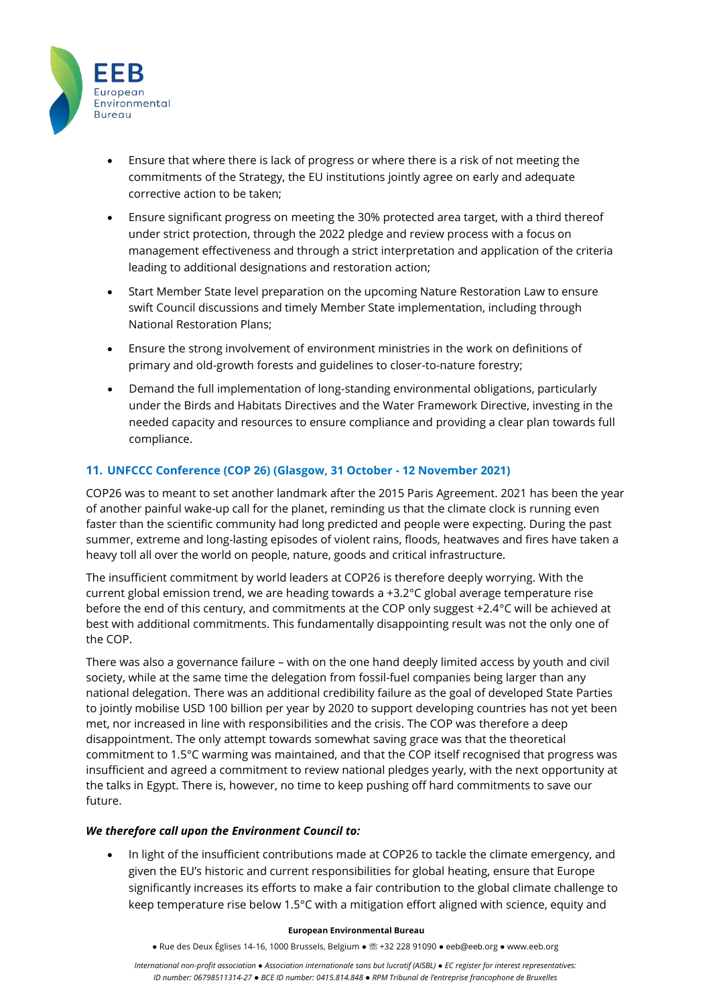

- Ensure that where there is lack of progress or where there is a risk of not meeting the commitments of the Strategy, the EU institutions jointly agree on early and adequate corrective action to be taken;
- Ensure significant progress on meeting the 30% protected area target, with a third thereof under strict protection, through the 2022 pledge and review process with a focus on management effectiveness and through a strict interpretation and application of the criteria leading to additional designations and restoration action;
- Start Member State level preparation on the upcoming Nature Restoration Law to ensure swift Council discussions and timely Member State implementation, including through National Restoration Plans;
- Ensure the strong involvement of environment ministries in the work on definitions of primary and old-growth forests and guidelines to closer-to-nature forestry;
- Demand the full implementation of long-standing environmental obligations, particularly under the Birds and Habitats Directives and the Water Framework Directive, investing in the needed capacity and resources to ensure compliance and providing a clear plan towards full compliance.

# **11. UNFCCC Conference (COP 26) (Glasgow, 31 October - 12 November 2021)**

COP26 was to meant to set another landmark after the 2015 Paris Agreement. 2021 has been the year of another painful wake-up call for the planet, reminding us that the climate clock is running even faster than the scientific community had long predicted and people were expecting. During the past summer, extreme and long-lasting episodes of violent rains, floods, heatwaves and fires have taken a heavy toll all over the world on people, nature, goods and critical infrastructure.

The insufficient commitment by world leaders at COP26 is therefore deeply worrying. With the current global emission trend, we are heading towards a +3.2°C global average temperature rise before the end of this century, and commitments at the COP only suggest +2.4°C will be achieved at best with additional commitments. This fundamentally disappointing result was not the only one of the COP.

There was also a governance failure – with on the one hand deeply limited access by youth and civil society, while at the same time the delegation from fossil-fuel companies being larger than any national delegation. There was an additional credibility failure as the goal of developed State Parties to jointly mobilise USD 100 billion per year by 2020 to support developing countries has not yet been met, nor increased in line with responsibilities and the crisis. The COP was therefore a deep disappointment. The only attempt towards somewhat saving grace was that the theoretical commitment to 1.5°C warming was maintained, and that the COP itself recognised that progress was insufficient and agreed a commitment to review national pledges yearly, with the next opportunity at the talks in Egypt. There is, however, no time to keep pushing off hard commitments to save our future.

### *We therefore call upon the Environment Council to:*

• In light of the insufficient contributions made at COP26 to tackle the climate emergency, and given the EU's historic and current responsibilities for global heating, ensure that Europe significantly increases its efforts to make a fair contribution to the global climate challenge to keep temperature rise below 1.5°C with a mitigation effort aligned with science, equity and

#### **European Environmental Bureau**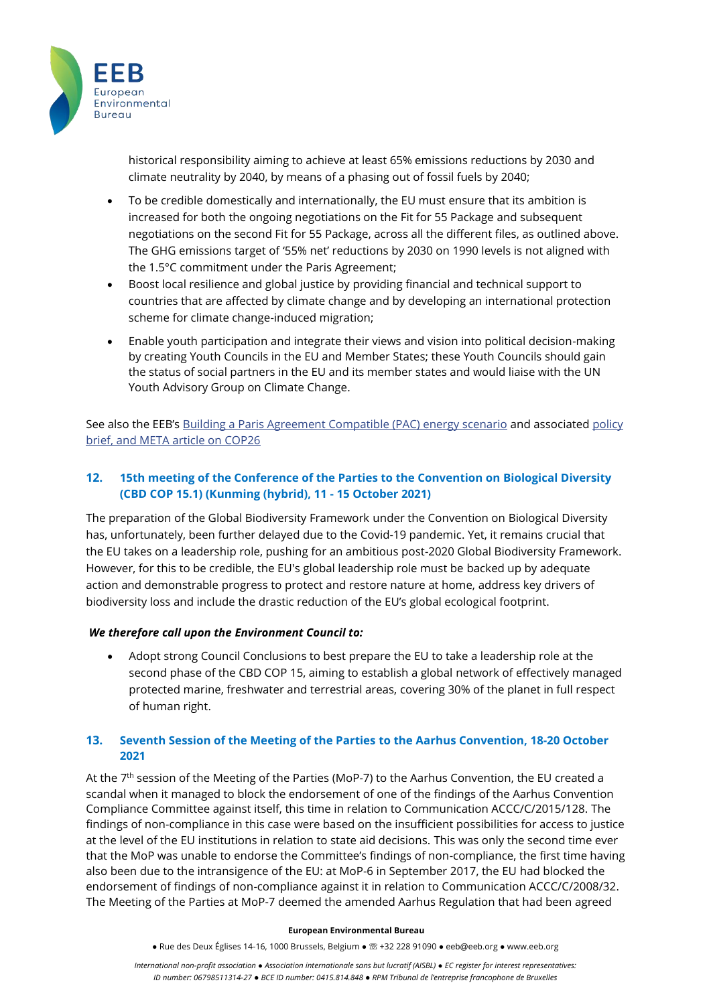

historical responsibility aiming to achieve at least 65% emissions reductions by 2030 and climate neutrality by 2040, by means of a phasing out of fossil fuels by 2040;

- To be credible domestically and internationally, the EU must ensure that its ambition is increased for both the ongoing negotiations on the Fit for 55 Package and subsequent negotiations on the second Fit for 55 Package, across all the different files, as outlined above. The GHG emissions target of '55% net' reductions by 2030 on 1990 levels is not aligned with the 1.5°C commitment under the Paris Agreement;
- Boost local resilience and global justice by providing financial and technical support to countries that are affected by climate change and by developing an international protection scheme for climate change-induced migration;
- Enable youth participation and integrate their views and vision into political decision-making by creating Youth Councils in the EU and Member States; these Youth Councils should gain the status of social partners in the EU and its member states and would liaise with the UN Youth Advisory Group on Climate Change.

See also the EEB's [Building a Paris Agreement Compatible \(PAC\) energy scenario](https://eeb.org/library/building-a-paris-agreement-compatible-pac-energy-scenario/) and associated policy [brief,](https://www.pac-scenarios.eu/fileadmin/user_upload/EEB_CAN_Europe_PAC_Policy_Brief.pdf) and META article on COP26

# **12. 15th meeting of the Conference of the Parties to the Convention on Biological Diversity (CBD COP 15.1) (Kunming (hybrid), 11 - 15 October 2021)**

The preparation of the Global Biodiversity Framework under the Convention on Biological Diversity has, unfortunately, been further delayed due to the Covid-19 pandemic. Yet, it remains crucial that the EU takes on a leadership role, pushing for an ambitious post-2020 Global Biodiversity Framework. However, for this to be credible, the EU's global leadership role must be backed up by adequate action and demonstrable progress to protect and restore nature at home, address key drivers of biodiversity loss and include the drastic reduction of the EU's global ecological footprint.

### *We therefore call upon the Environment Council to:*

• Adopt strong Council Conclusions to best prepare the EU to take a leadership role at the second phase of the CBD COP 15, aiming to establish a global network of effectively managed protected marine, freshwater and terrestrial areas, covering 30% of the planet in full respect of human right.

## **13. Seventh Session of the Meeting of the Parties to the Aarhus Convention, 18-20 October 2021**

At the 7<sup>th</sup> session of the Meeting of the Parties (MoP-7) to the Aarhus Convention, the EU created a scandal when it managed to block the endorsement of one of the findings of the Aarhus Convention Compliance Committee against itself, this time in relation to Communication ACCC/C/2015/128. The findings of non-compliance in this case were based on the insufficient possibilities for access to justice at the level of the EU institutions in relation to state aid decisions. This was only the second time ever that the MoP was unable to endorse the Committee's findings of non-compliance, the first time having also been due to the intransigence of the EU: at MoP-6 in September 2017, the EU had blocked the endorsement of findings of non-compliance against it in relation to Communication ACCC/C/2008/32. The Meeting of the Parties at MoP-7 deemed the amended Aarhus Regulation that had been agreed

#### **European Environmental Bureau**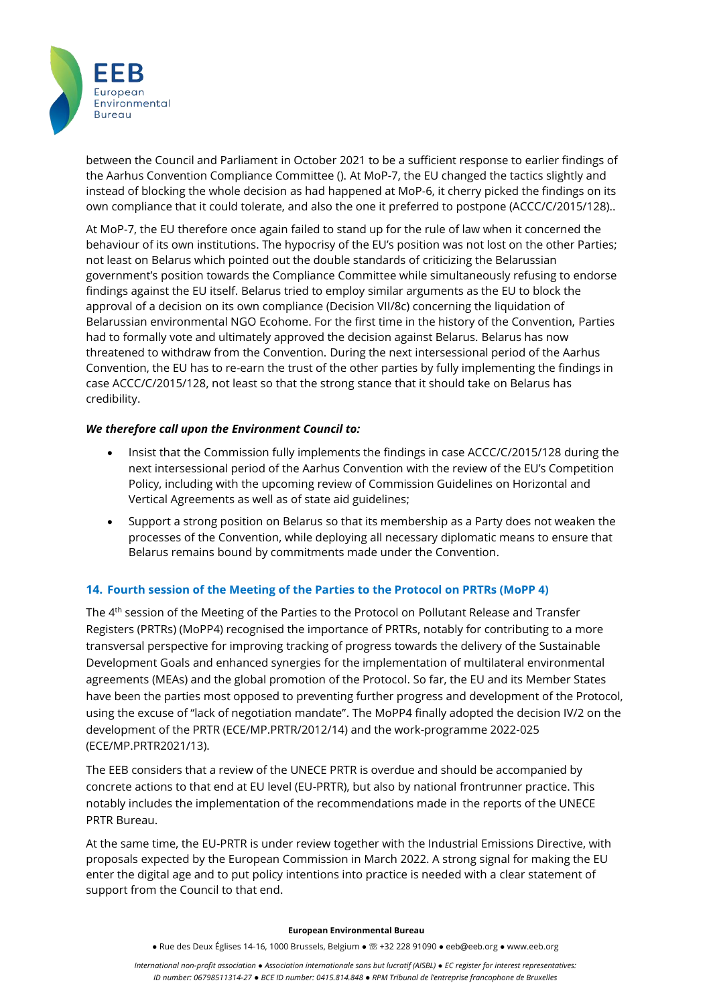

between the Council and Parliament in October 2021 to be a sufficient response to earlier findings of the Aarhus Convention Compliance Committee (). At MoP-7, the EU changed the tactics slightly and instead of blocking the whole decision as had happened at MoP-6, it cherry picked the findings on its own compliance that it could tolerate, and also the one it preferred to postpone (ACCC/C/2015/128)..

At MoP-7, the EU therefore once again failed to stand up for the rule of law when it concerned the behaviour of its own institutions. The hypocrisy of the EU's position was not lost on the other Parties; not least on Belarus which pointed out the double standards of criticizing the Belarussian government's position towards the Compliance Committee while simultaneously refusing to endorse findings against the EU itself. Belarus tried to employ similar arguments as the EU to block the approval of a decision on its own compliance (Decision VII/8c) concerning the liquidation of Belarussian environmental NGO Ecohome. For the first time in the history of the Convention, Parties had to formally vote and ultimately approved the decision against Belarus. Belarus has now threatened to withdraw from the Convention. During the next intersessional period of the Aarhus Convention, the EU has to re-earn the trust of the other parties by fully implementing the findings in case ACCC/C/2015/128, not least so that the strong stance that it should take on Belarus has credibility.

### *We therefore call upon the Environment Council to:*

- Insist that the Commission fully implements the findings in case ACCC/C/2015/128 during the next intersessional period of the Aarhus Convention with the review of the EU's Competition Policy, including with the upcoming review of Commission Guidelines on Horizontal and Vertical Agreements as well as of state aid guidelines;
- Support a strong position on Belarus so that its membership as a Party does not weaken the processes of the Convention, while deploying all necessary diplomatic means to ensure that Belarus remains bound by commitments made under the Convention.

### **14. Fourth session of the Meeting of the Parties to the Protocol on PRTRs (MoPP 4)**

The 4th session of the Meeting of the Parties to the Protocol on Pollutant Release and Transfer Registers (PRTRs) (MoPP4) recognised the importance of PRTRs, notably for contributing to a more transversal perspective for improving tracking of progress towards the delivery of the Sustainable Development Goals and enhanced synergies for the implementation of multilateral environmental agreements (MEAs) and the global promotion of the Protocol. So far, the EU and its Member States have been the parties most opposed to preventing further progress and development of the Protocol, using the excuse of "lack of negotiation mandate". The MoPP4 finally adopted the decision IV/2 on the development of the PRTR (ECE/MP.PRTR/2012/14) and the work-programme 2022-025 (ECE/MP.PRTR2021/13).

The EEB considers that a review of the UNECE PRTR is overdue and should be accompanied by concrete actions to that end at EU level (EU-PRTR), but also by national frontrunner practice. This notably includes the implementation of the recommendations made in the reports of the UNECE PRTR Bureau.

At the same time, the EU-PRTR is under review together with the Industrial Emissions Directive, with proposals expected by the European Commission in March 2022. A strong signal for making the EU enter the digital age and to put policy intentions into practice is needed with a clear statement of support from the Council to that end.

#### **European Environmental Bureau**